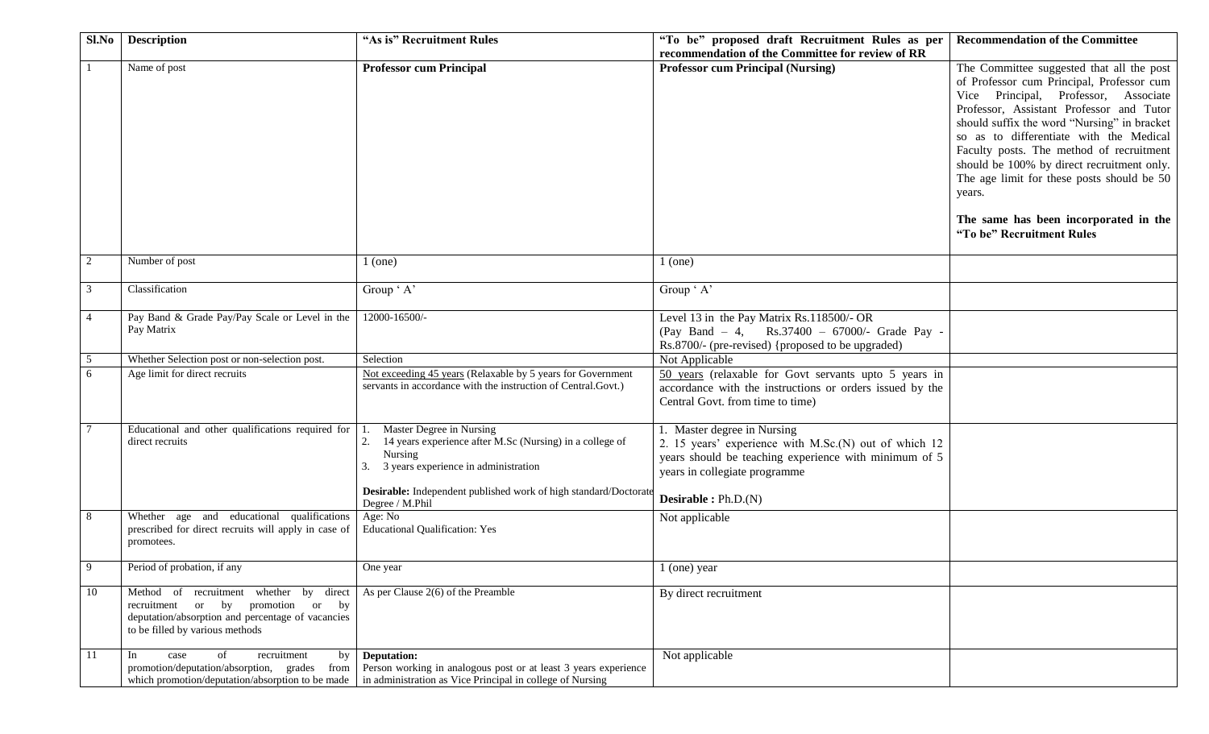| Sl.No          | <b>Description</b>                                                                                                                                                                                        | "As is" Recruitment Rules                                                                                                                                                                                                                           | "To be" proposed draft Recruitment Rules as per                                                                                                                                                        | <b>Recommendation of the Committee</b>                                                                                                                                                                                                                                                                                                                                                                                                                                                       |
|----------------|-----------------------------------------------------------------------------------------------------------------------------------------------------------------------------------------------------------|-----------------------------------------------------------------------------------------------------------------------------------------------------------------------------------------------------------------------------------------------------|--------------------------------------------------------------------------------------------------------------------------------------------------------------------------------------------------------|----------------------------------------------------------------------------------------------------------------------------------------------------------------------------------------------------------------------------------------------------------------------------------------------------------------------------------------------------------------------------------------------------------------------------------------------------------------------------------------------|
|                |                                                                                                                                                                                                           |                                                                                                                                                                                                                                                     | recommendation of the Committee for review of RR                                                                                                                                                       |                                                                                                                                                                                                                                                                                                                                                                                                                                                                                              |
|                | Name of post                                                                                                                                                                                              | <b>Professor cum Principal</b>                                                                                                                                                                                                                      | <b>Professor cum Principal (Nursing)</b>                                                                                                                                                               | The Committee suggested that all the post<br>of Professor cum Principal, Professor cum<br>Vice Principal, Professor, Associate<br>Professor, Assistant Professor and Tutor<br>should suffix the word "Nursing" in bracket<br>so as to differentiate with the Medical<br>Faculty posts. The method of recruitment<br>should be 100% by direct recruitment only.<br>The age limit for these posts should be 50<br>years.<br>The same has been incorporated in the<br>"To be" Recruitment Rules |
| 2              | Number of post                                                                                                                                                                                            | $1$ (one)                                                                                                                                                                                                                                           | $1$ (one)                                                                                                                                                                                              |                                                                                                                                                                                                                                                                                                                                                                                                                                                                                              |
| 3              | Classification                                                                                                                                                                                            | Group ' A'                                                                                                                                                                                                                                          | Group ' A'                                                                                                                                                                                             |                                                                                                                                                                                                                                                                                                                                                                                                                                                                                              |
| $\overline{4}$ | Pay Band & Grade Pay/Pay Scale or Level in the<br>Pay Matrix                                                                                                                                              | 12000-16500/-                                                                                                                                                                                                                                       | Level 13 in the Pay Matrix Rs.118500/- OR<br>(Pay Band - 4, Rs.37400 - 67000/- Grade Pay -<br>Rs.8700/- (pre-revised) {proposed to be upgraded)                                                        |                                                                                                                                                                                                                                                                                                                                                                                                                                                                                              |
| 5              | Whether Selection post or non-selection post.                                                                                                                                                             | Selection                                                                                                                                                                                                                                           | Not Applicable                                                                                                                                                                                         |                                                                                                                                                                                                                                                                                                                                                                                                                                                                                              |
| 6              | Age limit for direct recruits                                                                                                                                                                             | Not exceeding 45 years (Relaxable by 5 years for Government<br>servants in accordance with the instruction of Central.Govt.)                                                                                                                        | 50 years (relaxable for Govt servants upto 5 years in<br>accordance with the instructions or orders issued by the<br>Central Govt. from time to time)                                                  |                                                                                                                                                                                                                                                                                                                                                                                                                                                                                              |
|                | Educational and other qualifications required for<br>direct recruits                                                                                                                                      | Master Degree in Nursing<br>14 years experience after M.Sc (Nursing) in a college of<br>2.<br>Nursing<br>3 years experience in administration<br>Desirable: Independent published work of high standard/Doctorate<br>Degree / M.Phil                | 1. Master degree in Nursing<br>2. 15 years' experience with M.Sc.(N) out of which 12<br>years should be teaching experience with minimum of 5<br>years in collegiate programme<br>Desirable : Ph.D.(N) |                                                                                                                                                                                                                                                                                                                                                                                                                                                                                              |
| 8              | Whether age and educational qualifications<br>prescribed for direct recruits will apply in case of<br>promotees.                                                                                          | Age: No<br><b>Educational Qualification: Yes</b>                                                                                                                                                                                                    | Not applicable                                                                                                                                                                                         |                                                                                                                                                                                                                                                                                                                                                                                                                                                                                              |
| $\mathbf Q$    | Period of probation, if any                                                                                                                                                                               | One year                                                                                                                                                                                                                                            | 1 (one) year                                                                                                                                                                                           |                                                                                                                                                                                                                                                                                                                                                                                                                                                                                              |
| 10             | Method of recruitment whether by direct As per Clause $2(6)$ of the Preamble<br>recruitment or by promotion or by<br>deputation/absorption and percentage of vacancies<br>to be filled by various methods |                                                                                                                                                                                                                                                     | By direct recruitment                                                                                                                                                                                  |                                                                                                                                                                                                                                                                                                                                                                                                                                                                                              |
| 11             | In<br>of<br>recruitment<br>case                                                                                                                                                                           | by <b>Deputation:</b><br>promotion/deputation/absorption, grades from Person working in analogous post or at least 3 years experience<br>which promotion/deputation/absorption to be made in administration as Vice Principal in college of Nursing | Not applicable                                                                                                                                                                                         |                                                                                                                                                                                                                                                                                                                                                                                                                                                                                              |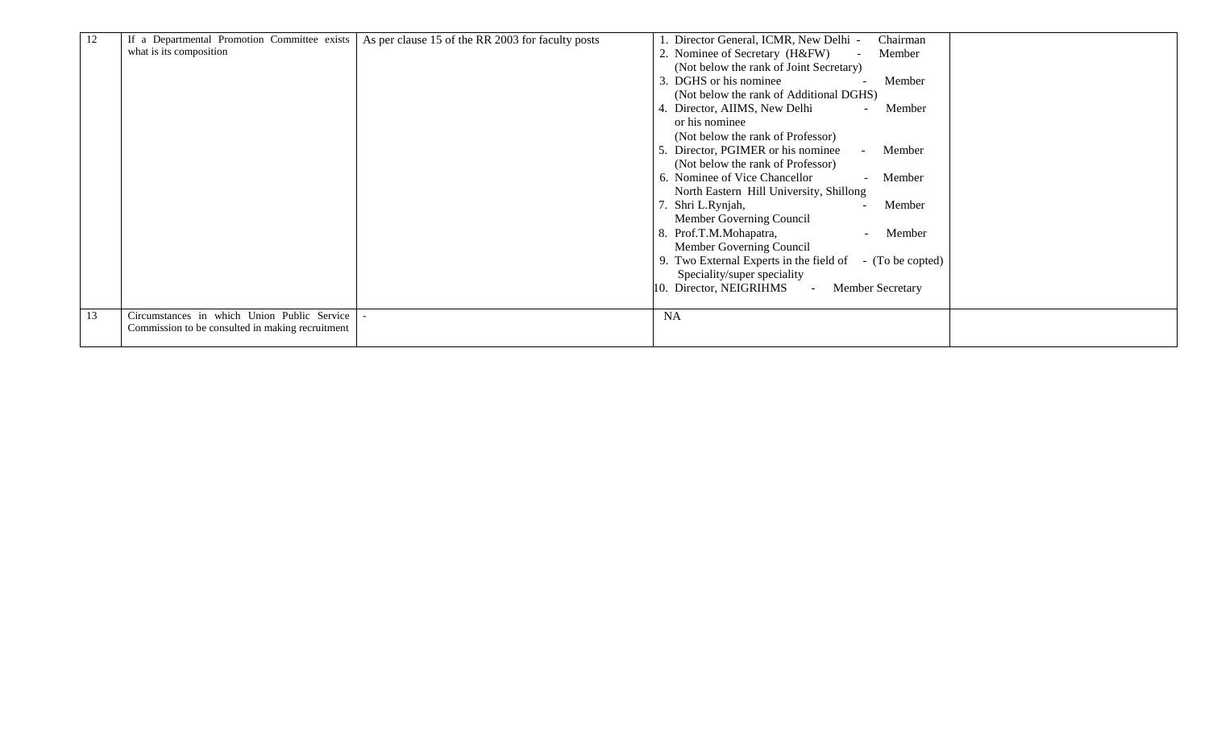| 12 | If a Departmental Promotion Committee exists     | As per clause 15 of the RR 2003 for faculty posts | . Director General, ICMR, New Delhi -<br>Chairman           |  |
|----|--------------------------------------------------|---------------------------------------------------|-------------------------------------------------------------|--|
|    | what is its composition                          |                                                   | 2. Nominee of Secretary (H&FW)<br>Member                    |  |
|    |                                                  |                                                   | (Not below the rank of Joint Secretary)                     |  |
|    |                                                  |                                                   | 3. DGHS or his nominee<br>Member                            |  |
|    |                                                  |                                                   | (Not below the rank of Additional DGHS)                     |  |
|    |                                                  |                                                   | 4. Director, AIIMS, New Delhi<br>Member                     |  |
|    |                                                  |                                                   | or his nominee                                              |  |
|    |                                                  |                                                   |                                                             |  |
|    |                                                  |                                                   | (Not below the rank of Professor)                           |  |
|    |                                                  |                                                   | Director, PGIMER or his nominee<br>Member                   |  |
|    |                                                  |                                                   | (Not below the rank of Professor)                           |  |
|    |                                                  |                                                   | 6. Nominee of Vice Chancellor<br>Member                     |  |
|    |                                                  |                                                   | North Eastern Hill University, Shillong                     |  |
|    |                                                  |                                                   | Shri L.Rynjah,<br>Member                                    |  |
|    |                                                  |                                                   | Member Governing Council                                    |  |
|    |                                                  |                                                   | 8. Prof.T.M.Mohapatra,<br>Member                            |  |
|    |                                                  |                                                   | Member Governing Council                                    |  |
|    |                                                  |                                                   | 9. Two External Experts in the field of<br>- (To be copted) |  |
|    |                                                  |                                                   | Speciality/super speciality                                 |  |
|    |                                                  |                                                   | Director, NEIGRIHMS<br>Member Secretary                     |  |
|    |                                                  |                                                   |                                                             |  |
| 13 | Circumstances in which Union Public Service      |                                                   | <b>NA</b>                                                   |  |
|    | Commission to be consulted in making recruitment |                                                   |                                                             |  |
|    |                                                  |                                                   |                                                             |  |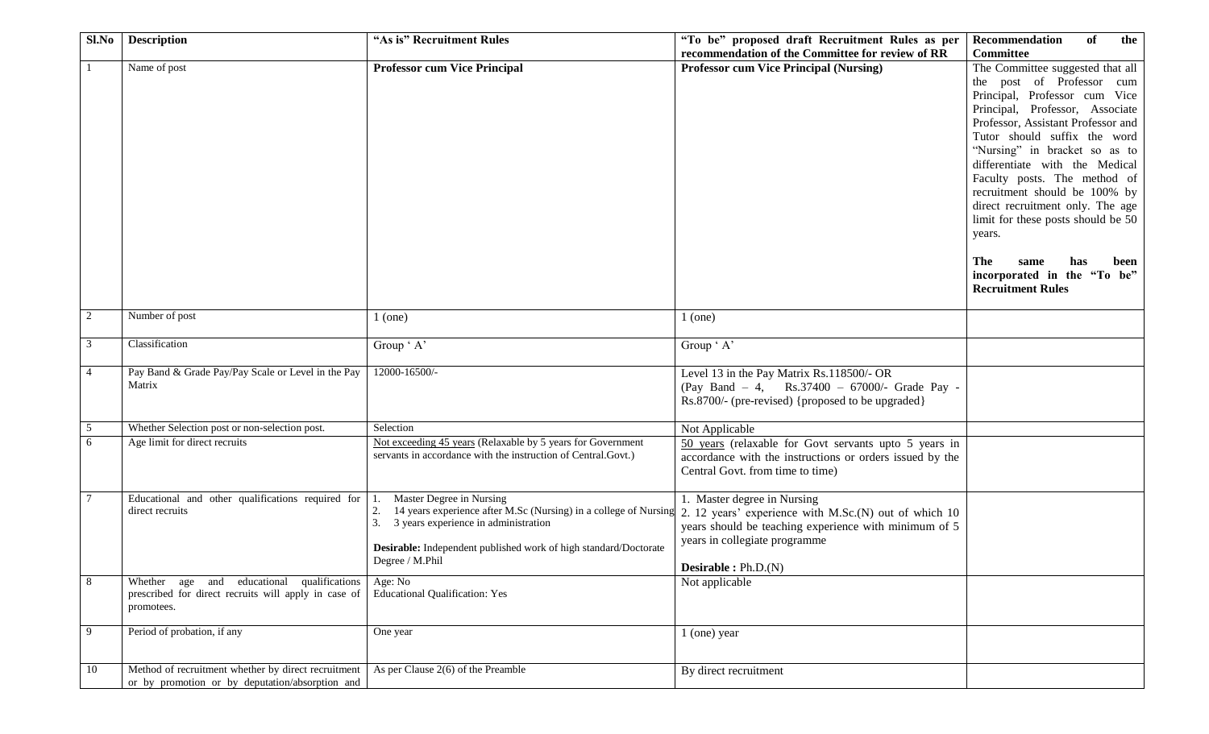| Sl.No          | <b>Description</b>                                   | "As is" Recruitment Rules                                        | "To be" proposed draft Recruitment Rules as per          | Recommendation<br>of<br>the                             |
|----------------|------------------------------------------------------|------------------------------------------------------------------|----------------------------------------------------------|---------------------------------------------------------|
|                |                                                      |                                                                  | recommendation of the Committee for review of RR         | Committee                                               |
|                | Name of post                                         | <b>Professor cum Vice Principal</b>                              | <b>Professor cum Vice Principal (Nursing)</b>            | The Committee suggested that all                        |
|                |                                                      |                                                                  |                                                          | the post of Professor cum                               |
|                |                                                      |                                                                  |                                                          | Principal, Professor cum Vice                           |
|                |                                                      |                                                                  |                                                          | Principal, Professor, Associate                         |
|                |                                                      |                                                                  |                                                          | Professor, Assistant Professor and                      |
|                |                                                      |                                                                  |                                                          | Tutor should suffix the word                            |
|                |                                                      |                                                                  |                                                          | "Nursing" in bracket so as to                           |
|                |                                                      |                                                                  |                                                          | differentiate with the Medical                          |
|                |                                                      |                                                                  |                                                          | Faculty posts. The method of                            |
|                |                                                      |                                                                  |                                                          | recruitment should be 100% by                           |
|                |                                                      |                                                                  |                                                          | direct recruitment only. The age                        |
|                |                                                      |                                                                  |                                                          |                                                         |
|                |                                                      |                                                                  |                                                          | limit for these posts should be 50                      |
|                |                                                      |                                                                  |                                                          | years.                                                  |
|                |                                                      |                                                                  |                                                          |                                                         |
|                |                                                      |                                                                  |                                                          | The -<br>same<br>has<br>been                            |
|                |                                                      |                                                                  |                                                          | incorporated in the "To be"<br><b>Recruitment Rules</b> |
|                |                                                      |                                                                  |                                                          |                                                         |
| 2              | Number of post                                       | $1$ (one)                                                        | $1$ (one)                                                |                                                         |
|                |                                                      |                                                                  |                                                          |                                                         |
| 3              | Classification                                       | Group ' A'                                                       | Group ' A'                                               |                                                         |
|                |                                                      |                                                                  |                                                          |                                                         |
| $\overline{4}$ | Pay Band & Grade Pay/Pay Scale or Level in the Pay   | 12000-16500/-                                                    | Level 13 in the Pay Matrix Rs.118500/- OR                |                                                         |
|                | Matrix                                               |                                                                  | (Pay Band - 4, Rs.37400 - 67000/- Grade Pay -            |                                                         |
|                |                                                      |                                                                  | Rs.8700/- (pre-revised) {proposed to be upgraded}        |                                                         |
|                |                                                      |                                                                  |                                                          |                                                         |
| 5              | Whether Selection post or non-selection post.        | Selection                                                        | Not Applicable                                           |                                                         |
| 6              | Age limit for direct recruits                        | Not exceeding 45 years (Relaxable by 5 years for Government      | 50 years (relaxable for Govt servants upto 5 years in    |                                                         |
|                |                                                      | servants in accordance with the instruction of Central.Govt.)    | accordance with the instructions or orders issued by the |                                                         |
|                |                                                      |                                                                  | Central Govt. from time to time)                         |                                                         |
|                |                                                      |                                                                  |                                                          |                                                         |
|                | Educational and other qualifications required for    | Master Degree in Nursing                                         | 1. Master degree in Nursing                              |                                                         |
|                | direct recruits                                      | 14 years experience after M.Sc (Nursing) in a college of Nursing | 2. 12 years' experience with M.Sc.(N) out of which 10    |                                                         |
|                |                                                      | 3. 3 years experience in administration                          | years should be teaching experience with minimum of 5    |                                                         |
|                |                                                      | Desirable: Independent published work of high standard/Doctorate | years in collegiate programme                            |                                                         |
|                |                                                      | Degree / M.Phil                                                  |                                                          |                                                         |
|                |                                                      |                                                                  | <b>Desirable :</b> $Ph.D.(N)$                            |                                                         |
| 8              | Whether age and educational qualifications           | Age: No                                                          | Not applicable                                           |                                                         |
|                | prescribed for direct recruits will apply in case of | <b>Educational Qualification: Yes</b>                            |                                                          |                                                         |
|                | promotees.                                           |                                                                  |                                                          |                                                         |
| 9              | Period of probation, if any                          | One year                                                         | $1$ (one) year                                           |                                                         |
|                |                                                      |                                                                  |                                                          |                                                         |
|                |                                                      |                                                                  |                                                          |                                                         |
| 10             | Method of recruitment whether by direct recruitment  | As per Clause $2(6)$ of the Preamble                             | By direct recruitment                                    |                                                         |
|                | or by promotion or by deputation/absorption and      |                                                                  |                                                          |                                                         |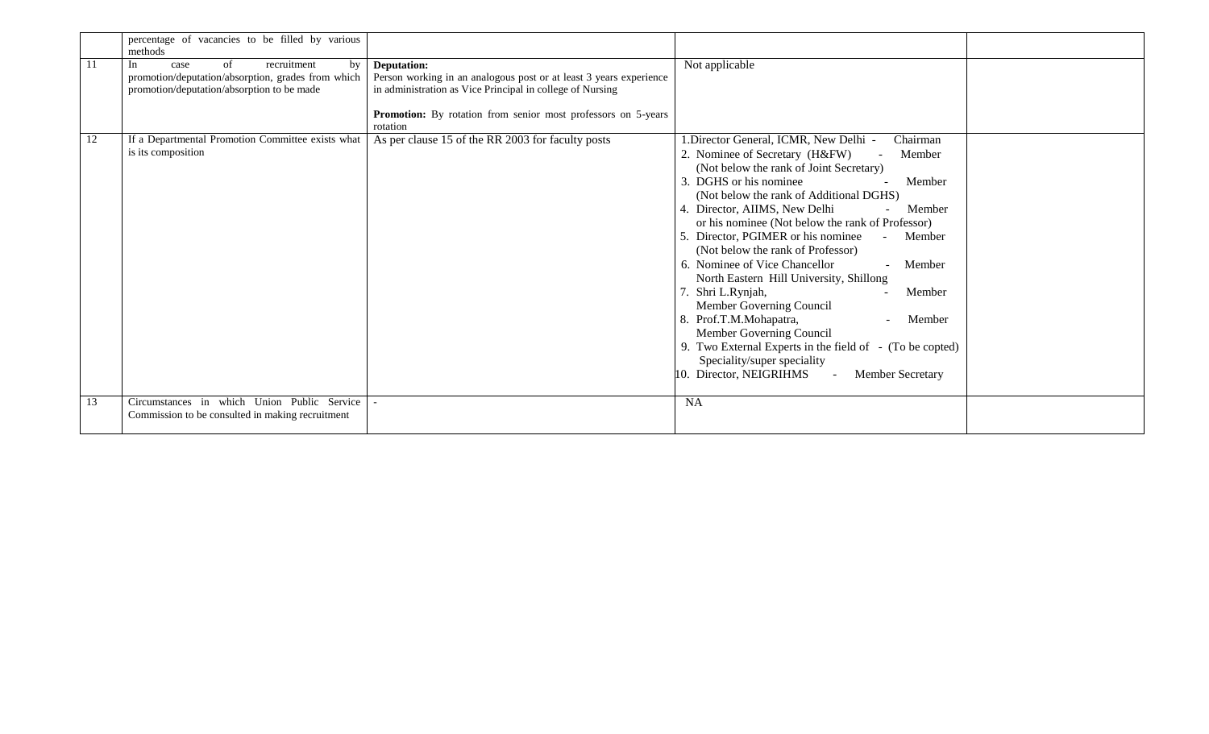|    | percentage of vacancies to be filled by various<br>methods                                                                                |                                                                                                                                                                                                                                           |                                                                                                                                                                                                                                                                                                                                                                                                                                                                                                                                                                                                                                                                                                                                                               |  |
|----|-------------------------------------------------------------------------------------------------------------------------------------------|-------------------------------------------------------------------------------------------------------------------------------------------------------------------------------------------------------------------------------------------|---------------------------------------------------------------------------------------------------------------------------------------------------------------------------------------------------------------------------------------------------------------------------------------------------------------------------------------------------------------------------------------------------------------------------------------------------------------------------------------------------------------------------------------------------------------------------------------------------------------------------------------------------------------------------------------------------------------------------------------------------------------|--|
| 11 | In<br>case<br>of<br>recruitment<br>by<br>promotion/deputation/absorption, grades from which<br>promotion/deputation/absorption to be made | <b>Deputation:</b><br>Person working in an analogous post or at least 3 years experience<br>in administration as Vice Principal in college of Nursing<br><b>Promotion:</b> By rotation from senior most professors on 5-years<br>rotation | Not applicable                                                                                                                                                                                                                                                                                                                                                                                                                                                                                                                                                                                                                                                                                                                                                |  |
| 12 | If a Departmental Promotion Committee exists what<br>is its composition                                                                   | As per clause 15 of the RR 2003 for faculty posts                                                                                                                                                                                         | I.Director General, ICMR, New Delhi -<br>Chairman<br>2. Nominee of Secretary (H&FW)<br>Member<br>(Not below the rank of Joint Secretary)<br>DGHS or his nominee<br>Member<br>(Not below the rank of Additional DGHS)<br>Director, AIIMS, New Delhi<br>Member<br>or his nominee (Not below the rank of Professor)<br>Director, PGIMER or his nominee<br>Member<br>(Not below the rank of Professor)<br>6. Nominee of Vice Chancellor<br>Member<br>North Eastern Hill University, Shillong<br>Shri L.Rynjah,<br>Member<br>Member Governing Council<br>8. Prof.T.M.Mohapatra,<br>Member<br>Member Governing Council<br>9. Two External Experts in the field of - (To be copted)<br>Speciality/super speciality<br>Director, NEIGRIHMS<br>Member Secretary<br>10. |  |
| 13 | Circumstances in which Union Public Service<br>Commission to be consulted in making recruitment                                           |                                                                                                                                                                                                                                           | <b>NA</b>                                                                                                                                                                                                                                                                                                                                                                                                                                                                                                                                                                                                                                                                                                                                                     |  |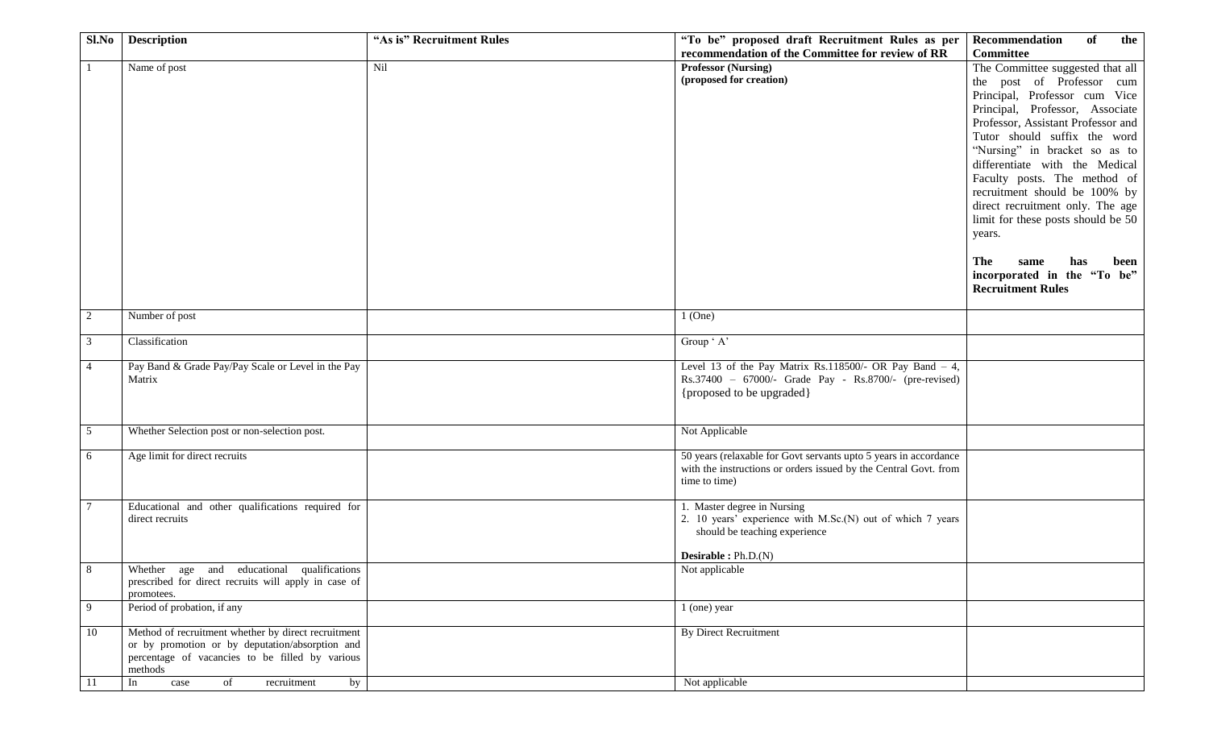| Sl.No | <b>Description</b>                                   | "As is" Recruitment Rules | "To be" proposed draft Recruitment Rules as per                  | Recommendation<br>of<br>the        |
|-------|------------------------------------------------------|---------------------------|------------------------------------------------------------------|------------------------------------|
|       |                                                      |                           | recommendation of the Committee for review of RR                 | <b>Committee</b>                   |
|       | Name of post                                         | Nil                       | <b>Professor (Nursing)</b>                                       | The Committee suggested that all   |
|       |                                                      |                           | (proposed for creation)                                          | the post of Professor cum          |
|       |                                                      |                           |                                                                  | Principal, Professor cum Vice      |
|       |                                                      |                           |                                                                  | Principal, Professor, Associate    |
|       |                                                      |                           |                                                                  |                                    |
|       |                                                      |                           |                                                                  | Professor, Assistant Professor and |
|       |                                                      |                           |                                                                  | Tutor should suffix the word       |
|       |                                                      |                           |                                                                  | "Nursing" in bracket so as to      |
|       |                                                      |                           |                                                                  | differentiate with the Medical     |
|       |                                                      |                           |                                                                  | Faculty posts. The method of       |
|       |                                                      |                           |                                                                  | recruitment should be 100% by      |
|       |                                                      |                           |                                                                  | direct recruitment only. The age   |
|       |                                                      |                           |                                                                  |                                    |
|       |                                                      |                           |                                                                  | limit for these posts should be 50 |
|       |                                                      |                           |                                                                  | years.                             |
|       |                                                      |                           |                                                                  |                                    |
|       |                                                      |                           |                                                                  | The<br>same<br>has<br>been         |
|       |                                                      |                           |                                                                  | incorporated in the "To be"        |
|       |                                                      |                           |                                                                  | <b>Recruitment Rules</b>           |
|       |                                                      |                           |                                                                  |                                    |
| 2     | Number of post                                       |                           | $1$ (One)                                                        |                                    |
| 3     | Classification                                       |                           | Group ' A'                                                       |                                    |
|       |                                                      |                           |                                                                  |                                    |
| 4     | Pay Band & Grade Pay/Pay Scale or Level in the Pay   |                           | Level 13 of the Pay Matrix Rs.118500/- OR Pay Band $-4$ ,        |                                    |
|       | Matrix                                               |                           | Rs.37400 - 67000/- Grade Pay - Rs.8700/- (pre-revised)           |                                    |
|       |                                                      |                           | {proposed to be upgraded}                                        |                                    |
|       |                                                      |                           |                                                                  |                                    |
|       |                                                      |                           |                                                                  |                                    |
| 5     | Whether Selection post or non-selection post.        |                           | Not Applicable                                                   |                                    |
| 6     | Age limit for direct recruits                        |                           | 50 years (relaxable for Govt servants upto 5 years in accordance |                                    |
|       |                                                      |                           | with the instructions or orders issued by the Central Govt. from |                                    |
|       |                                                      |                           | time to time)                                                    |                                    |
|       |                                                      |                           |                                                                  |                                    |
| 7     | Educational and other qualifications required for    |                           | 1. Master degree in Nursing                                      |                                    |
|       | direct recruits                                      |                           | 2. 10 years' experience with M.Sc.(N) out of which 7 years       |                                    |
|       |                                                      |                           | should be teaching experience                                    |                                    |
|       |                                                      |                           |                                                                  |                                    |
|       |                                                      |                           | Desirable : $Ph.D.(N)$                                           |                                    |
| 8     | Whether age and educational qualifications           |                           | Not applicable                                                   |                                    |
|       | prescribed for direct recruits will apply in case of |                           |                                                                  |                                    |
|       | promotees.                                           |                           |                                                                  |                                    |
| 9     | Period of probation, if any                          |                           | 1 (one) year                                                     |                                    |
|       |                                                      |                           |                                                                  |                                    |
| 10    | Method of recruitment whether by direct recruitment  |                           | <b>By Direct Recruitment</b>                                     |                                    |
|       | or by promotion or by deputation/absorption and      |                           |                                                                  |                                    |
|       | percentage of vacancies to be filled by various      |                           |                                                                  |                                    |
|       | methods                                              |                           |                                                                  |                                    |
| 11    | of<br>In<br>by<br>case<br>recruitment                |                           | Not applicable                                                   |                                    |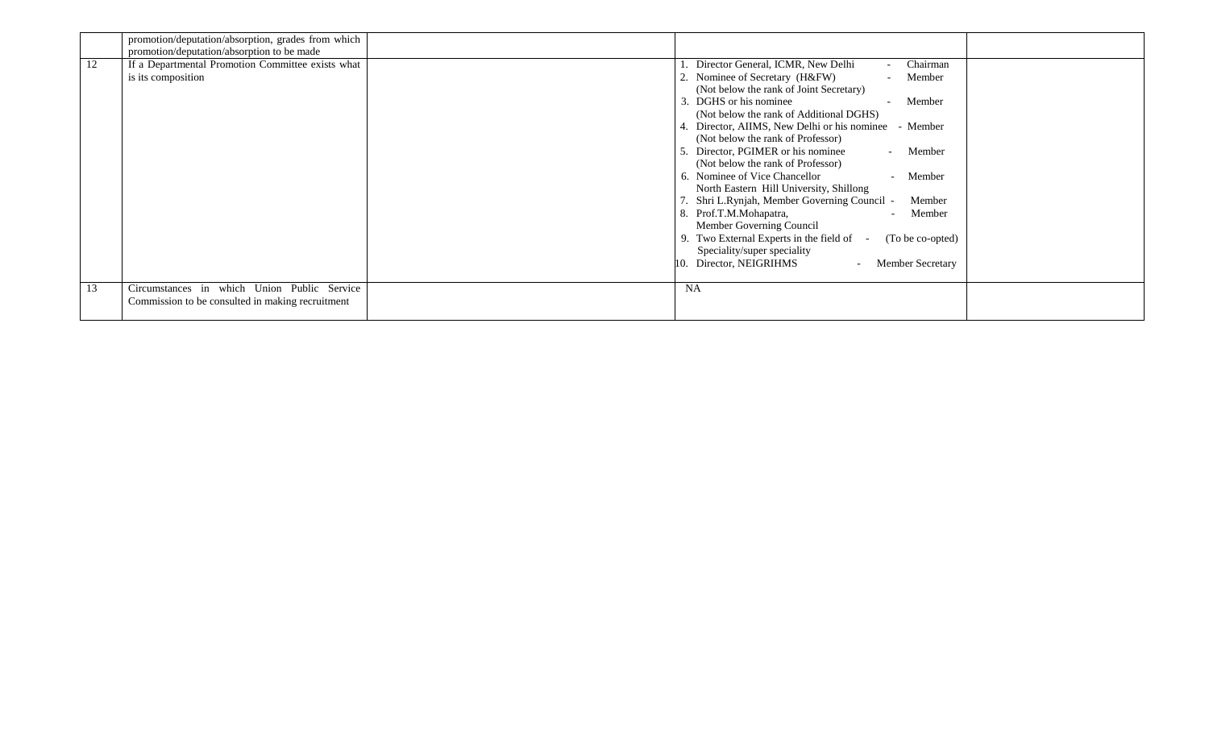|    | promotion/deputation/absorption, grades from which                                                                    |                                                                                                                                                                                                                                                                                                                                                                                                                                                                                                                                                                                                                                                                                                                                                                                                           |  |
|----|-----------------------------------------------------------------------------------------------------------------------|-----------------------------------------------------------------------------------------------------------------------------------------------------------------------------------------------------------------------------------------------------------------------------------------------------------------------------------------------------------------------------------------------------------------------------------------------------------------------------------------------------------------------------------------------------------------------------------------------------------------------------------------------------------------------------------------------------------------------------------------------------------------------------------------------------------|--|
| 12 | promotion/deputation/absorption to be made<br>If a Departmental Promotion Committee exists what<br>is its composition | Director General, ICMR, New Delhi<br>Chairman<br>Nominee of Secretary (H&FW)<br>Member<br>(Not below the rank of Joint Secretary)<br>DGHS or his nominee<br>3.<br>Member<br>(Not below the rank of Additional DGHS)<br>Director, AIIMS, New Delhi or his nominee<br>- Member<br>(Not below the rank of Professor)<br>Director, PGIMER or his nominee<br>Member<br>$\sim 10^{-1}$<br>(Not below the rank of Professor)<br>6. Nominee of Vice Chancellor<br>Member<br>$\sim$<br>North Eastern Hill University, Shillong<br>Shri L.Rynjah, Member Governing Council -<br>Member<br>8. Prof.T.M.Mohapatra,<br>Member<br>Member Governing Council<br>Two External Experts in the field of -<br>(To be co-opted)<br>Speciality/super speciality<br>Director, NEIGRIHMS<br><b>Member Secretary</b><br>$\sim 100$ |  |
| 13 | Circumstances in which Union Public Service<br>Commission to be consulted in making recruitment                       | <b>NA</b>                                                                                                                                                                                                                                                                                                                                                                                                                                                                                                                                                                                                                                                                                                                                                                                                 |  |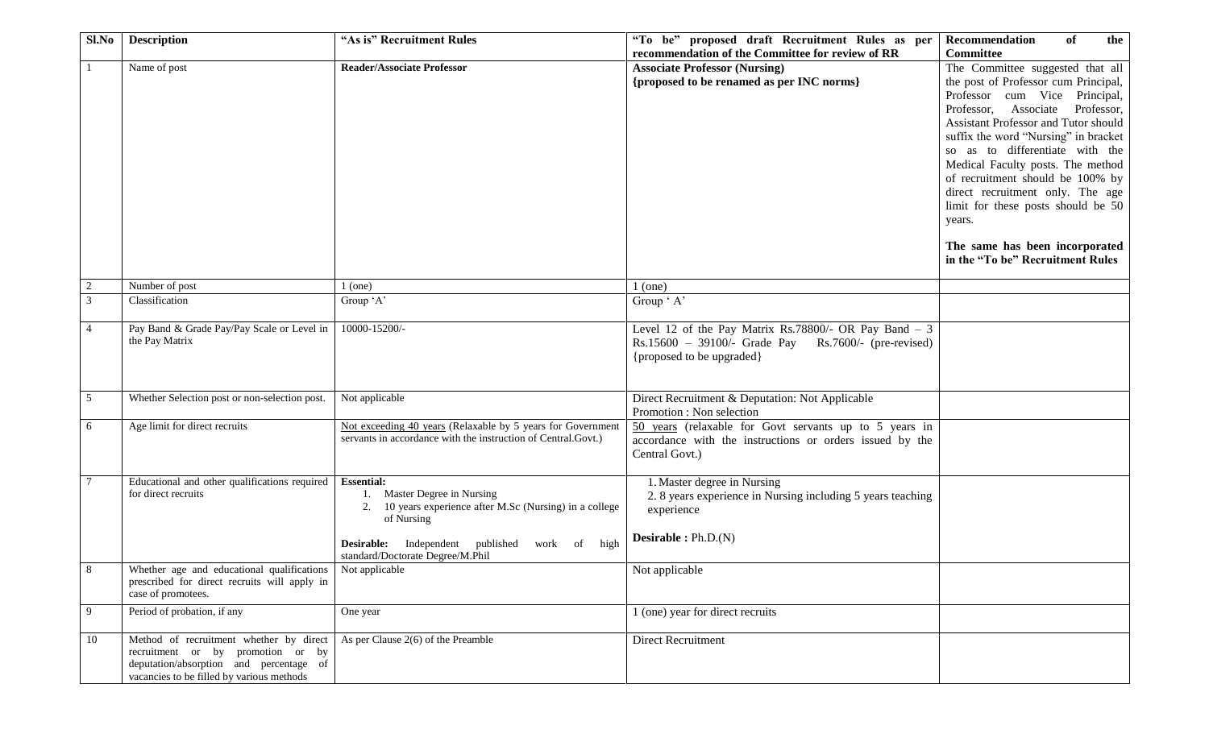| Sl.No          | <b>Description</b>                                        | "As is" Recruitment Rules                                                                   | "To be" proposed draft Recruitment Rules as per             | <b>Recommendation</b><br>of<br>the   |
|----------------|-----------------------------------------------------------|---------------------------------------------------------------------------------------------|-------------------------------------------------------------|--------------------------------------|
|                |                                                           |                                                                                             | recommendation of the Committee for review of RR            | Committee                            |
|                | Name of post                                              | <b>Reader/Associate Professor</b>                                                           | <b>Associate Professor (Nursing)</b>                        | The Committee suggested that all     |
|                |                                                           |                                                                                             | {proposed to be renamed as per INC norms}                   | the post of Professor cum Principal, |
|                |                                                           |                                                                                             |                                                             | Professor cum Vice Principal,        |
|                |                                                           |                                                                                             |                                                             | Professor, Associate Professor,      |
|                |                                                           |                                                                                             |                                                             | Assistant Professor and Tutor should |
|                |                                                           |                                                                                             |                                                             | suffix the word "Nursing" in bracket |
|                |                                                           |                                                                                             |                                                             | so as to differentiate with the      |
|                |                                                           |                                                                                             |                                                             | Medical Faculty posts. The method    |
|                |                                                           |                                                                                             |                                                             |                                      |
|                |                                                           |                                                                                             |                                                             | of recruitment should be 100% by     |
|                |                                                           |                                                                                             |                                                             | direct recruitment only. The age     |
|                |                                                           |                                                                                             |                                                             | limit for these posts should be 50   |
|                |                                                           |                                                                                             |                                                             | years.                               |
|                |                                                           |                                                                                             |                                                             | The same has been incorporated       |
|                |                                                           |                                                                                             |                                                             | in the "To be" Recruitment Rules     |
|                |                                                           |                                                                                             |                                                             |                                      |
| 2              | Number of post                                            | $1$ (one)                                                                                   | $1$ (one)                                                   |                                      |
| $\mathfrak{Z}$ | Classification                                            | Group 'A'                                                                                   | Group ' A'                                                  |                                      |
|                |                                                           |                                                                                             |                                                             |                                      |
| $\overline{4}$ | Pay Band & Grade Pay/Pay Scale or Level in                | 10000-15200/-                                                                               | Level 12 of the Pay Matrix Rs.78800/- OR Pay Band $-3$      |                                      |
|                | the Pay Matrix                                            |                                                                                             | $Rs.15600 - 39100/-$ Grade Pay $Rs.7600/-$ (pre-revised)    |                                      |
|                |                                                           |                                                                                             | {proposed to be upgraded}                                   |                                      |
|                |                                                           |                                                                                             |                                                             |                                      |
|                |                                                           |                                                                                             |                                                             |                                      |
| 5              | Whether Selection post or non-selection post.             | Not applicable                                                                              | Direct Recruitment & Deputation: Not Applicable             |                                      |
|                |                                                           |                                                                                             | Promotion : Non selection                                   |                                      |
| 6              | Age limit for direct recruits                             | Not exceeding 40 years (Relaxable by 5 years for Government                                 | 50 years (relaxable for Govt servants up to 5 years in      |                                      |
|                |                                                           | servants in accordance with the instruction of Central.Govt.)                               | accordance with the instructions or orders issued by the    |                                      |
|                |                                                           |                                                                                             | Central Govt.)                                              |                                      |
|                |                                                           |                                                                                             |                                                             |                                      |
|                | Educational and other qualifications required             | <b>Essential:</b>                                                                           | 1. Master degree in Nursing                                 |                                      |
|                | for direct recruits                                       | Master Degree in Nursing                                                                    | 2. 8 years experience in Nursing including 5 years teaching |                                      |
|                |                                                           | 2. 10 years experience after M.Sc (Nursing) in a college                                    | experience                                                  |                                      |
|                |                                                           | of Nursing                                                                                  |                                                             |                                      |
|                |                                                           |                                                                                             | <b>Desirable:</b> $Ph.D.(N)$                                |                                      |
|                |                                                           | <b>Desirable:</b> Independent published<br>work of high<br>standard/Doctorate Degree/M.Phil |                                                             |                                      |
| 8              | Whether age and educational qualifications Not applicable |                                                                                             | Not applicable                                              |                                      |
|                | prescribed for direct recruits will apply in              |                                                                                             |                                                             |                                      |
|                | case of promotees.                                        |                                                                                             |                                                             |                                      |
| 9              | Period of probation, if any                               | One year                                                                                    | 1 (one) year for direct recruits                            |                                      |
|                |                                                           |                                                                                             |                                                             |                                      |
| 10             | Method of recruitment whether by direct                   | As per Clause $2(6)$ of the Preamble                                                        | Direct Recruitment                                          |                                      |
|                | recruitment or by promotion or by                         |                                                                                             |                                                             |                                      |
|                | deputation/absorption and percentage of                   |                                                                                             |                                                             |                                      |
|                | vacancies to be filled by various methods                 |                                                                                             |                                                             |                                      |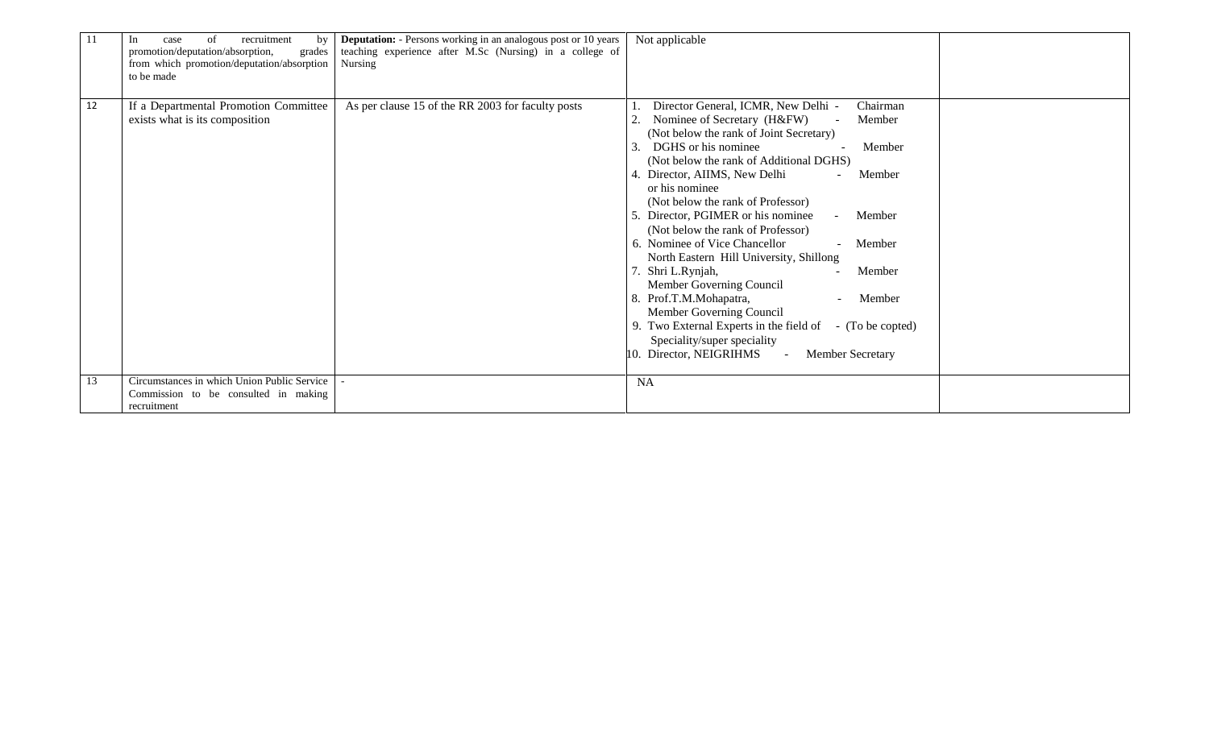| 11 | recruitment<br>of<br>by<br>In.<br>case<br>promotion/deputation/absorption,<br>grades<br>from which promotion/deputation/absorption<br>to be made | <b>Deputation:</b> - Persons working in an analogous post or 10 years<br>teaching experience after M.Sc (Nursing) in a college of<br>Nursing | Not applicable                                                                                                                                                                                                                                                                                                                                                                                                                                                                                                                                                                                                                                                                                                                                                                               |  |
|----|--------------------------------------------------------------------------------------------------------------------------------------------------|----------------------------------------------------------------------------------------------------------------------------------------------|----------------------------------------------------------------------------------------------------------------------------------------------------------------------------------------------------------------------------------------------------------------------------------------------------------------------------------------------------------------------------------------------------------------------------------------------------------------------------------------------------------------------------------------------------------------------------------------------------------------------------------------------------------------------------------------------------------------------------------------------------------------------------------------------|--|
| 12 | If a Departmental Promotion Committee<br>exists what is its composition                                                                          | As per clause 15 of the RR 2003 for faculty posts                                                                                            | Director General, ICMR, New Delhi -<br>Chairman<br>Nominee of Secretary (H&FW)<br>Member<br>(Not below the rank of Joint Secretary)<br>DGHS or his nominee<br>$\mathcal{R}$<br>Member<br>(Not below the rank of Additional DGHS)<br>4. Director, AIIMS, New Delhi<br>Member<br>or his nominee<br>(Not below the rank of Professor)<br>5. Director, PGIMER or his nominee<br>Member<br>(Not below the rank of Professor)<br>6. Nominee of Vice Chancellor<br>Member<br>North Eastern Hill University, Shillong<br>Shri L.Rynjah,<br>Member<br>Member Governing Council<br>8. Prof.T.M.Mohapatra,<br>Member<br>Member Governing Council<br>9. Two External Experts in the field of<br>- (To be copted)<br>Speciality/super speciality<br>10. Director, NEIGRIHMS<br>Member Secretary<br>$\sim$ |  |
| 13 | Circumstances in which Union Public Service<br>Commission to be consulted in making<br>recruitment                                               |                                                                                                                                              | <b>NA</b>                                                                                                                                                                                                                                                                                                                                                                                                                                                                                                                                                                                                                                                                                                                                                                                    |  |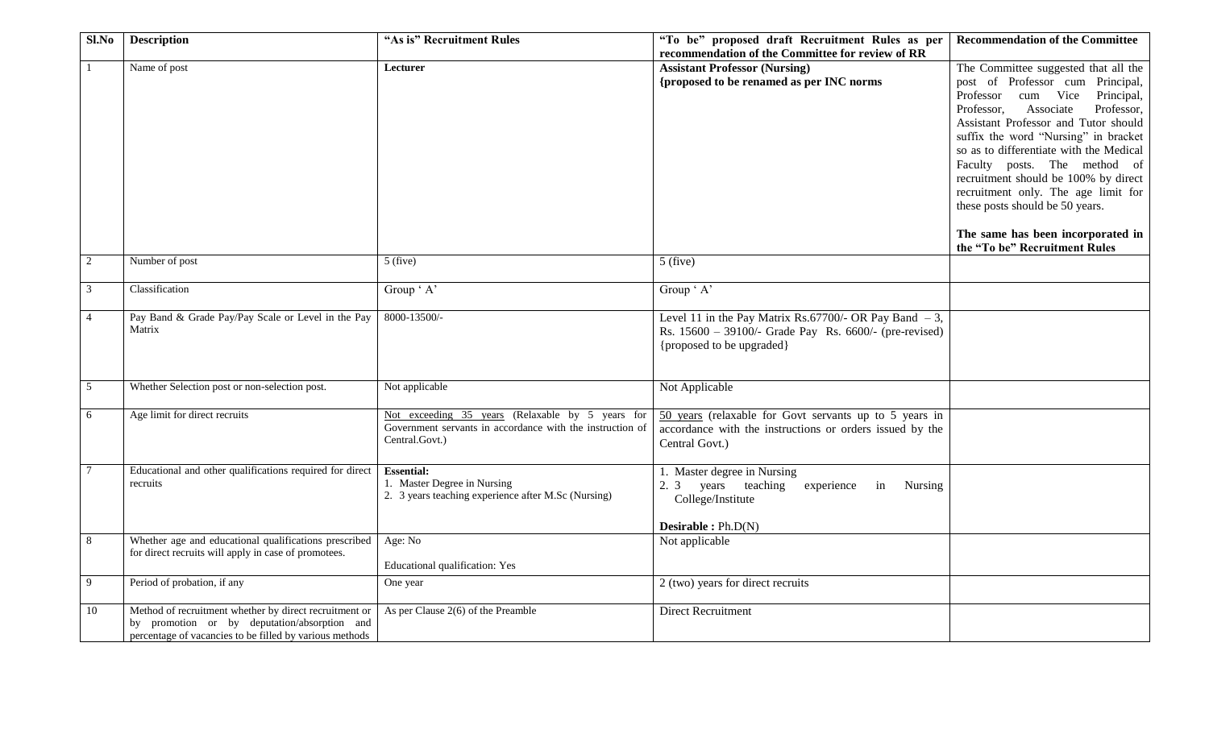| Sl.No          | <b>Description</b>                                                                                                                                                | "As is" Recruitment Rules                                                                                                       | "To be" proposed draft Recruitment Rules as per<br>recommendation of the Committee for review of RR                                             | <b>Recommendation of the Committee</b>                                                                                                                                                                                                                                                                                                                                                                                                                                                                   |
|----------------|-------------------------------------------------------------------------------------------------------------------------------------------------------------------|---------------------------------------------------------------------------------------------------------------------------------|-------------------------------------------------------------------------------------------------------------------------------------------------|----------------------------------------------------------------------------------------------------------------------------------------------------------------------------------------------------------------------------------------------------------------------------------------------------------------------------------------------------------------------------------------------------------------------------------------------------------------------------------------------------------|
|                | Name of post                                                                                                                                                      | Lecturer                                                                                                                        | <b>Assistant Professor (Nursing)</b><br>{proposed to be renamed as per INC norms                                                                | The Committee suggested that all the<br>post of Professor cum Principal,<br>Professor cum Vice<br>Principal,<br>Professor,<br>Associate<br>Professor,<br>Assistant Professor and Tutor should<br>suffix the word "Nursing" in bracket<br>so as to differentiate with the Medical<br>Faculty posts. The method of<br>recruitment should be 100% by direct<br>recruitment only. The age limit for<br>these posts should be 50 years.<br>The same has been incorporated in<br>the "To be" Recruitment Rules |
| $\overline{c}$ | Number of post                                                                                                                                                    | $5$ (five)                                                                                                                      | $5$ (five)                                                                                                                                      |                                                                                                                                                                                                                                                                                                                                                                                                                                                                                                          |
| 3              | Classification                                                                                                                                                    | Group ' A'                                                                                                                      | Group ' A'                                                                                                                                      |                                                                                                                                                                                                                                                                                                                                                                                                                                                                                                          |
| 4              | Pay Band & Grade Pay/Pay Scale or Level in the Pay<br>Matrix                                                                                                      | 8000-13500/-                                                                                                                    | Level 11 in the Pay Matrix Rs.67700/- OR Pay Band $-3$ ,<br>Rs. 15600 - 39100/- Grade Pay Rs. 6600/- (pre-revised)<br>{proposed to be upgraded} |                                                                                                                                                                                                                                                                                                                                                                                                                                                                                                          |
| 5              | Whether Selection post or non-selection post.                                                                                                                     | Not applicable                                                                                                                  | Not Applicable                                                                                                                                  |                                                                                                                                                                                                                                                                                                                                                                                                                                                                                                          |
| 6              | Age limit for direct recruits                                                                                                                                     | Not exceeding 35 years (Relaxable by 5 years for<br>Government servants in accordance with the instruction of<br>Central.Govt.) | 50 years (relaxable for Govt servants up to 5 years in<br>accordance with the instructions or orders issued by the<br>Central Govt.)            |                                                                                                                                                                                                                                                                                                                                                                                                                                                                                                          |
|                | Educational and other qualifications required for direct<br>recruits                                                                                              | <b>Essential:</b><br>1. Master Degree in Nursing<br>2. 3 years teaching experience after M.Sc (Nursing)                         | 1. Master degree in Nursing<br>2. 3 years teaching experience<br>in<br>Nursing<br>College/Institute<br><b>Desirable:</b> $Ph.D(N)$              |                                                                                                                                                                                                                                                                                                                                                                                                                                                                                                          |
| 8              | Whether age and educational qualifications prescribed<br>for direct recruits will apply in case of promotees.                                                     | Age: No<br><b>Educational qualification: Yes</b>                                                                                | Not applicable                                                                                                                                  |                                                                                                                                                                                                                                                                                                                                                                                                                                                                                                          |
| 9              | Period of probation, if any                                                                                                                                       | One year                                                                                                                        | 2 (two) years for direct recruits                                                                                                               |                                                                                                                                                                                                                                                                                                                                                                                                                                                                                                          |
| 10             | Method of recruitment whether by direct recruitment or<br>by promotion or by deputation/absorption and<br>percentage of vacancies to be filled by various methods | As per Clause $2(6)$ of the Preamble                                                                                            | <b>Direct Recruitment</b>                                                                                                                       |                                                                                                                                                                                                                                                                                                                                                                                                                                                                                                          |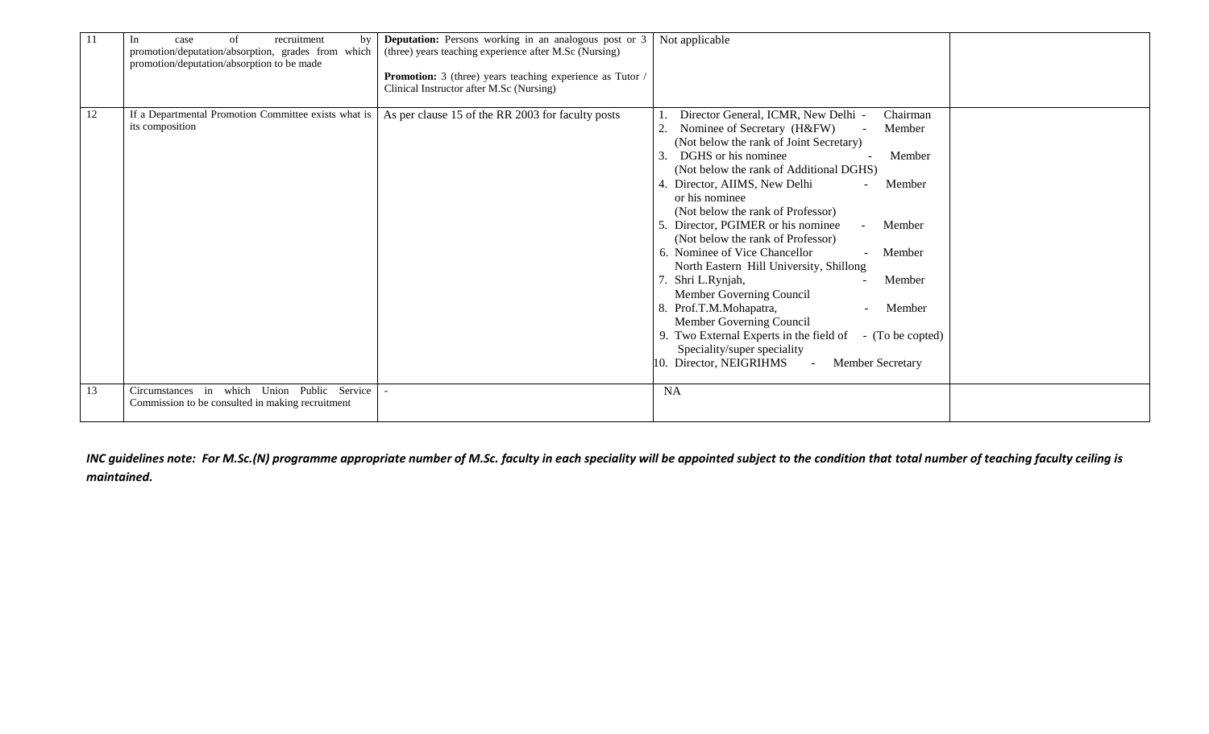| 11 | recruitment<br>of<br>In<br>case<br>by<br>promotion/deputation/absorption, grades from which<br>promotion/deputation/absorption to be made | <b>Deputation:</b> Persons working in an analogous post or 3<br>(three) years teaching experience after M.Sc (Nursing)<br>Promotion: 3 (three) years teaching experience as Tutor /<br>Clinical Instructor after M.Sc (Nursing) | Not applicable                                                                                                                                                                                                                                                                                                                                                                                                                                                                                                                                                                                                                                                                                                                                                   |  |
|----|-------------------------------------------------------------------------------------------------------------------------------------------|---------------------------------------------------------------------------------------------------------------------------------------------------------------------------------------------------------------------------------|------------------------------------------------------------------------------------------------------------------------------------------------------------------------------------------------------------------------------------------------------------------------------------------------------------------------------------------------------------------------------------------------------------------------------------------------------------------------------------------------------------------------------------------------------------------------------------------------------------------------------------------------------------------------------------------------------------------------------------------------------------------|--|
| 12 | If a Departmental Promotion Committee exists what is<br>its composition                                                                   | As per clause 15 of the RR 2003 for faculty posts                                                                                                                                                                               | Director General, ICMR, New Delhi -<br>Chairman<br>Nominee of Secretary (H&FW)<br>Member<br>(Not below the rank of Joint Secretary)<br>DGHS or his nominee<br>Member<br>(Not below the rank of Additional DGHS)<br>Director, AIIMS, New Delhi<br>Member<br>or his nominee<br>(Not below the rank of Professor)<br>Director, PGIMER or his nominee<br>Member<br>(Not below the rank of Professor)<br>6. Nominee of Vice Chancellor<br>- Member<br>North Eastern Hill University, Shillong<br>Shri L.Rynjah,<br>Member<br>Member Governing Council<br>Prof.T.M.Mohapatra,<br>8.<br>Member<br>Member Governing Council<br>9. Two External Experts in the field of<br>- (To be copted)<br>Speciality/super speciality<br>10. Director, NEIGRIHMS<br>Member Secretary |  |
| 13 | Circumstances in which Union Public Service<br>Commission to be consulted in making recruitment                                           |                                                                                                                                                                                                                                 | <b>NA</b>                                                                                                                                                                                                                                                                                                                                                                                                                                                                                                                                                                                                                                                                                                                                                        |  |

INC guidelines note: For M.Sc.(N) programme appropriate number of M.Sc. faculty in each speciality will be appointed subject to the condition that total number of teaching faculty ceiling is *maintained.*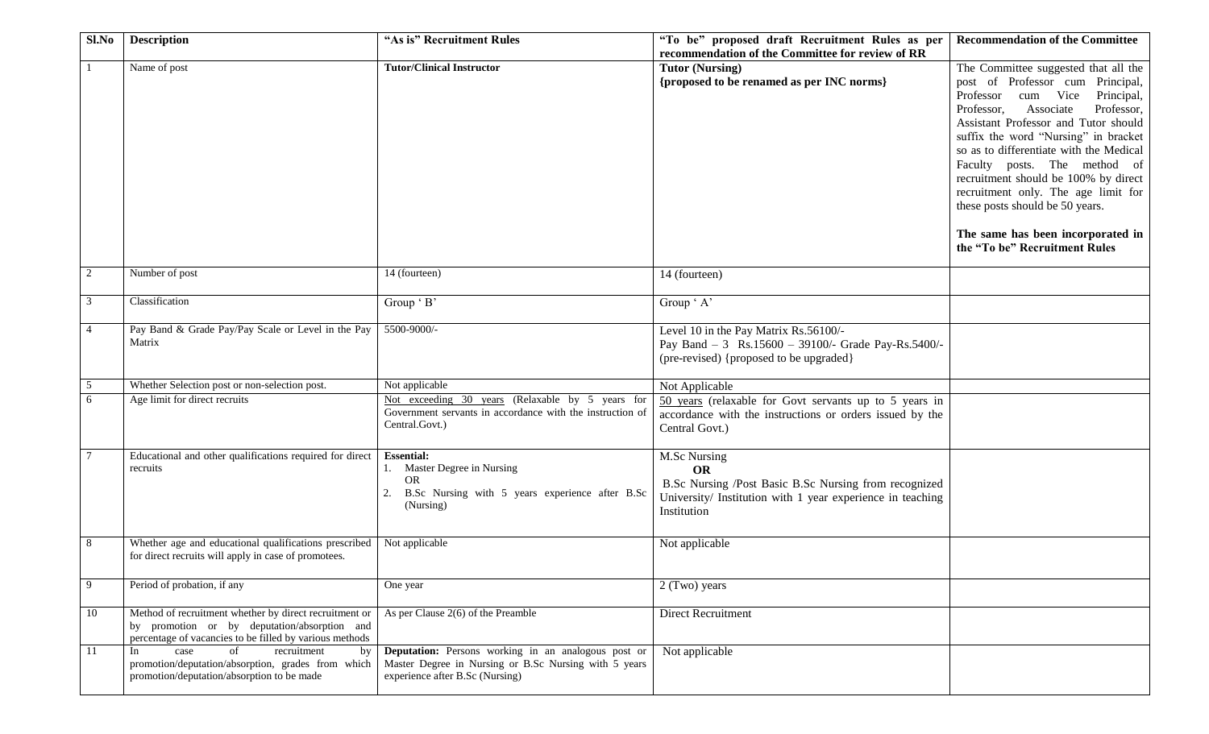| $Sl$ . No      | <b>Description</b>                                                                                                                                                | "As is" Recruitment Rules                                                                                                                       | "To be" proposed draft Recruitment Rules as per<br>recommendation of the Committee for review of RR                                                                    | <b>Recommendation of the Committee</b>                                                                                                                                                                                                                                                                                                                                                                                                                                                                      |
|----------------|-------------------------------------------------------------------------------------------------------------------------------------------------------------------|-------------------------------------------------------------------------------------------------------------------------------------------------|------------------------------------------------------------------------------------------------------------------------------------------------------------------------|-------------------------------------------------------------------------------------------------------------------------------------------------------------------------------------------------------------------------------------------------------------------------------------------------------------------------------------------------------------------------------------------------------------------------------------------------------------------------------------------------------------|
|                | Name of post                                                                                                                                                      | <b>Tutor/Clinical Instructor</b>                                                                                                                | <b>Tutor (Nursing)</b><br>{proposed to be renamed as per INC norms}                                                                                                    | The Committee suggested that all the<br>post of Professor cum Principal,<br>Professor<br>cum Vice<br>Principal,<br>Professor,<br>Associate<br>Professor,<br>Assistant Professor and Tutor should<br>suffix the word "Nursing" in bracket<br>so as to differentiate with the Medical<br>Faculty posts. The method of<br>recruitment should be 100% by direct<br>recruitment only. The age limit for<br>these posts should be 50 years.<br>The same has been incorporated in<br>the "To be" Recruitment Rules |
| 2              | Number of post                                                                                                                                                    | 14 (fourteen)                                                                                                                                   | 14 (fourteen)                                                                                                                                                          |                                                                                                                                                                                                                                                                                                                                                                                                                                                                                                             |
| 3              | Classification                                                                                                                                                    | Group ' B'                                                                                                                                      | Group ' A'                                                                                                                                                             |                                                                                                                                                                                                                                                                                                                                                                                                                                                                                                             |
| $\overline{4}$ | Pay Band & Grade Pay/Pay Scale or Level in the Pay<br>Matrix                                                                                                      | 5500-9000/-                                                                                                                                     | Level 10 in the Pay Matrix Rs.56100/-<br>Pay Band - 3 Rs.15600 - 39100/- Grade Pay-Rs.5400/-<br>(pre-revised) {proposed to be upgraded}                                |                                                                                                                                                                                                                                                                                                                                                                                                                                                                                                             |
| 5              | Whether Selection post or non-selection post.                                                                                                                     | Not applicable                                                                                                                                  | Not Applicable                                                                                                                                                         |                                                                                                                                                                                                                                                                                                                                                                                                                                                                                                             |
| 6              | Age limit for direct recruits                                                                                                                                     | Not exceeding 30 years (Relaxable by 5 years for<br>Government servants in accordance with the instruction of<br>Central.Govt.)                 | 50 years (relaxable for Govt servants up to 5 years in<br>accordance with the instructions or orders issued by the<br>Central Govt.)                                   |                                                                                                                                                                                                                                                                                                                                                                                                                                                                                                             |
|                | Educational and other qualifications required for direct<br>recruits                                                                                              | <b>Essential:</b><br>1. Master Degree in Nursing<br><b>OR</b><br>B.Sc Nursing with 5 years experience after B.Sc<br>(Nursing)                   | <b>M.Sc Nursing</b><br><b>OR</b><br>B.Sc Nursing /Post Basic B.Sc Nursing from recognized<br>University/ Institution with 1 year experience in teaching<br>Institution |                                                                                                                                                                                                                                                                                                                                                                                                                                                                                                             |
| 8              | Whether age and educational qualifications prescribed<br>for direct recruits will apply in case of promotees.                                                     | Not applicable                                                                                                                                  | Not applicable                                                                                                                                                         |                                                                                                                                                                                                                                                                                                                                                                                                                                                                                                             |
| 9              | Period of probation, if any                                                                                                                                       | One year                                                                                                                                        | 2 (Two) years                                                                                                                                                          |                                                                                                                                                                                                                                                                                                                                                                                                                                                                                                             |
| 10             | Method of recruitment whether by direct recruitment or<br>by promotion or by deputation/absorption and<br>percentage of vacancies to be filled by various methods | As per Clause $2(6)$ of the Preamble                                                                                                            | Direct Recruitment                                                                                                                                                     |                                                                                                                                                                                                                                                                                                                                                                                                                                                                                                             |
| 11             | case<br>of<br>recruitment<br>In<br>by<br>promotion/deputation/absorption, grades from which<br>promotion/deputation/absorption to be made                         | Deputation: Persons working in an analogous post or<br>Master Degree in Nursing or B.Sc Nursing with 5 years<br>experience after B.Sc (Nursing) | Not applicable                                                                                                                                                         |                                                                                                                                                                                                                                                                                                                                                                                                                                                                                                             |